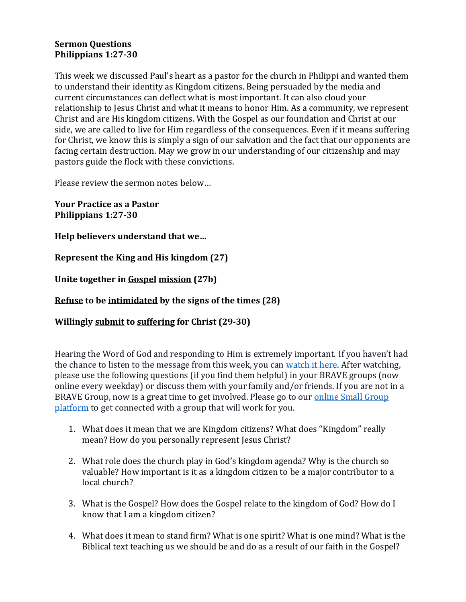## **Sermon Questions Philippians 1:27-30**

This week we discussed Paul's heart as a pastor for the church in Philippi and wanted them to understand their identity as Kingdom citizens. Being persuaded by the media and current circumstances can deflect what is most important. It can also cloud your relationship to Jesus Christ and what it means to honor Him. As a community, we represent Christ and are His kingdom citizens. With the Gospel as our foundation and Christ at our side, we are called to live for Him regardless of the consequences. Even if it means suffering for Christ, we know this is simply a sign of our salvation and the fact that our opponents are facing certain destruction. May we grow in our understanding of our citizenship and may pastors guide the flock with these convictions.

Please review the sermon notes below…

**Your Practice as a Pastor Philippians 1:27-30**

**Help believers understand that we…**

**Represent the King and His kingdom (27)**

**Unite together in Gospel mission (27b)**

# **Refuse to be intimidated by the signs of the times (28)**

**Willingly submit to suffering for Christ (29-30)**

Hearing the Word of God and responding to Him is extremely important. If you haven't had the chance to listen to the message from this week, you can [watch it here.](https://bravechurch.co/sermons/) After watching, please use the following questions (if you find them helpful) in your BRAVE groups (now online every weekday) or discuss them with your family and/or friends. If you are not in a BRAVE Group, now is a great time to get involved. Please go to our [online Small Group](https://my.bravechurch.co/groupfinder)  [platform](https://my.bravechurch.co/groupfinder) to get connected with a group that will work for you.

- 1. What does it mean that we are Kingdom citizens? What does "Kingdom" really mean? How do you personally represent Jesus Christ?
- 2. What role does the church play in God's kingdom agenda? Why is the church so valuable? How important is it as a kingdom citizen to be a major contributor to a local church?
- 3. What is the Gospel? How does the Gospel relate to the kingdom of God? How do I know that I am a kingdom citizen?
- 4. What does it mean to stand firm? What is one spirit? What is one mind? What is the Biblical text teaching us we should be and do as a result of our faith in the Gospel?